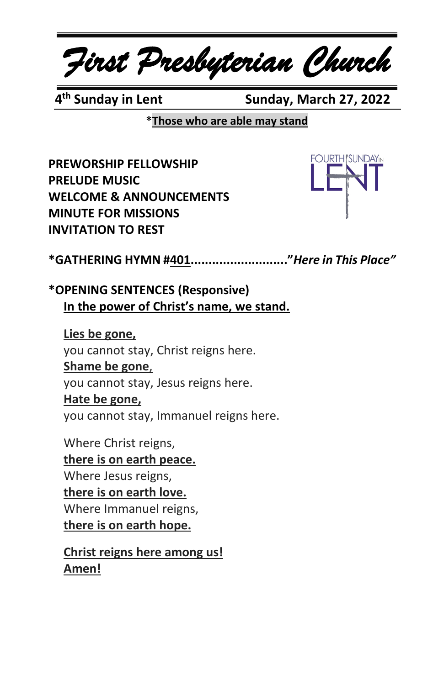*First Presbyterian Church*

4<sup>th</sup> Sundav in Lent

**Sunday, March 27, 2022** 

**\*Those who are able may stand**

**PREWORSHIP FELLOWSHIP PRELUDE MUSIC WELCOME & ANNOUNCEMENTS MINUTE FOR MISSIONS INVITATION TO REST**



**\*GATHERING HYMN #401..........................."***Here in This Place"*

**\*OPENING SENTENCES (Responsive) In the power of Christ's name, we stand.**

**Lies be gone,** you cannot stay, Christ reigns here. **Shame be gone**, you cannot stay, Jesus reigns here. **Hate be gone,** you cannot stay, Immanuel reigns here.

Where Christ reigns,

**there is on earth peace.** Where Jesus reigns, **there is on earth love.** Where Immanuel reigns, **there is on earth hope.**

**Christ reigns here among us! Amen!**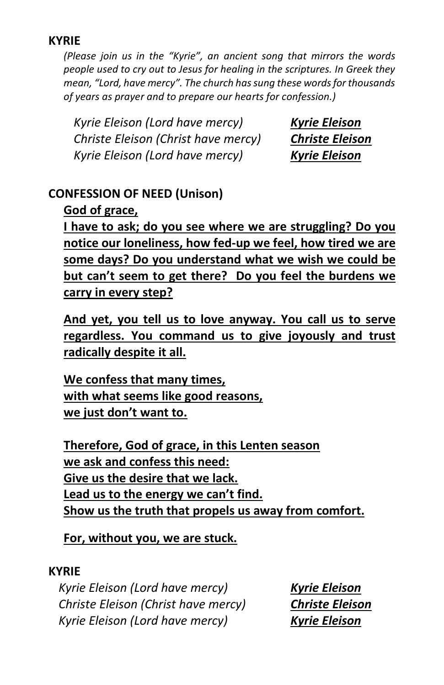#### **KYRIE**

*(Please join us in the "Kyrie", an ancient song that mirrors the words people used to cry out to Jesus for healing in the scriptures. In Greek they mean, "Lord, have mercy". The church has sung these words for thousands of years as prayer and to prepare our hearts for confession.)*

*Kyrie Eleison (Lord have mercy) Kyrie Eleison Christe Eleison (Christ have mercy) Christe Eleison Kyrie Eleison (Lord have mercy) Kyrie Eleison*

## **CONFESSION OF NEED (Unison)**

## **God of grace,**

**I have to ask; do you see where we are struggling? Do you notice our loneliness, how fed-up we feel, how tired we are some days? Do you understand what we wish we could be but can't seem to get there? Do you feel the burdens we carry in every step?**

**And yet, you tell us to love anyway. You call us to serve regardless. You command us to give joyously and trust radically despite it all.**

**We confess that many times, with what seems like good reasons, we just don't want to.**

**Therefore, God of grace, in this Lenten season we ask and confess this need: Give us the desire that we lack. Lead us to the energy we can't find. Show us the truth that propels us away from comfort.**

**For, without you, we are stuck.**

#### **KYRIE**

*Kyrie Eleison (Lord have mercy) Kyrie Eleison Christe Eleison (Christ have mercy) Christe Eleison Kyrie Eleison (Lord have mercy) Kyrie Eleison*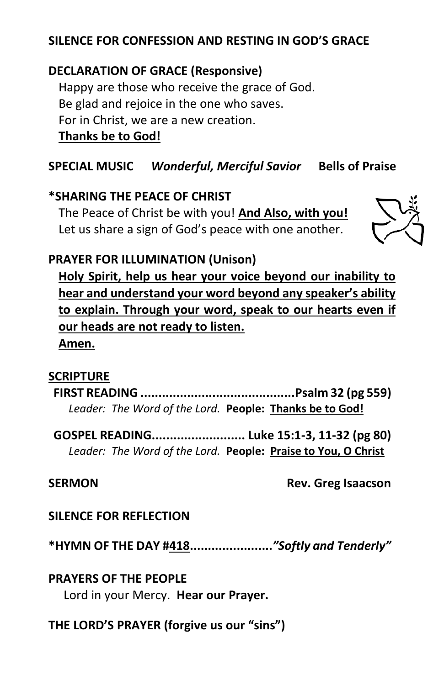## **SILENCE FOR CONFESSION AND RESTING IN GOD'S GRACE**

## **DECLARATION OF GRACE (Responsive)**

Happy are those who receive the grace of God. Be glad and rejoice in the one who saves. For in Christ, we are a new creation.

**Thanks be to God!**

## **SPECIAL MUSIC** *Wonderful, Merciful Savior* **Bells of Praise**

### **\*SHARING THE PEACE OF CHRIST**

The Peace of Christ be with you! **And Also, with you!** Let us share a sign of God's peace with one another.



## **PRAYER FOR ILLUMINATION (Unison)**

**Holy Spirit, help us hear your voice beyond our inability to hear and understand your word beyond any speaker's ability to explain. Through your word, speak to our hearts even if our heads are not ready to listen.**

# **Amen.**

#### **SCRIPTURE**

**FIRST READING ...........................................Psalm 32 (pg 559)** *Leader: The Word of the Lord.* **People: Thanks be to God!**

**GOSPEL READING.......................... Luke 15:1-3, 11-32 (pg 80)** *Leader: The Word of the Lord.* **People: Praise to You, O Christ**

#### **SERMON** Rev. Greg Isaacson

#### **SILENCE FOR REFLECTION**

**\*HYMN OF THE DAY #418.......................***"Softly and Tenderly"*

#### **PRAYERS OF THE PEOPLE**

Lord in your Mercy. **Hear our Prayer.**

## **THE LORD'S PRAYER (forgive us our "sins")**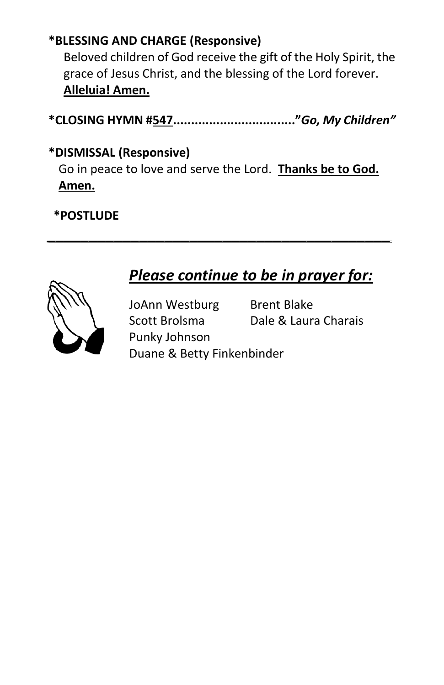## **\*BLESSING AND CHARGE (Responsive)**

Beloved children of God receive the gift of the Holy Spirit, the grace of Jesus Christ, and the blessing of the Lord forever. **Alleluia! Amen.**

**\*CLOSING HYMN #547.................................."***Go, My Children"*

## **\*DISMISSAL (Responsive)**

Go in peace to love and serve the Lord. **Thanks be to God. Amen.**

*\_\_\_\_\_\_\_\_\_\_\_\_\_\_\_\_\_\_\_\_\_\_\_\_\_\_\_\_\_\_\_\_\_\_\_\_\_\_\_\_\_*

## **\*POSTLUDE**



# *Please continue to be in prayer for:*

JoAnn Westburg Brent Blake Punky Johnson

Scott Brolsma Dale & Laura Charais

Duane & Betty Finkenbinder